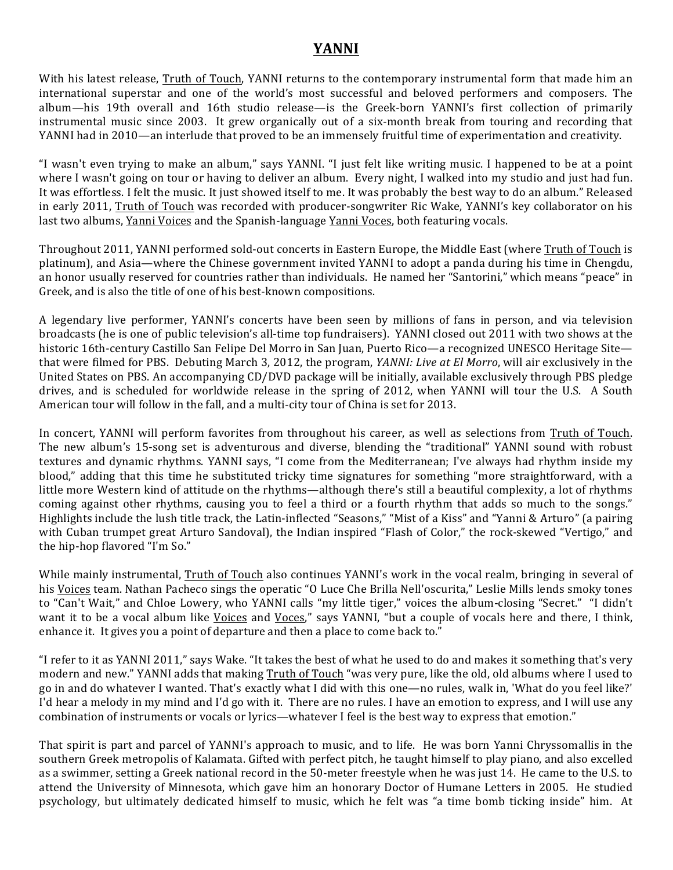## **YANNI**

With his latest release, Truth of Touch, YANNI returns to the contemporary instrumental form that made him an international superstar and one of the world's most successful and beloved performers and composers. The album—his 19th overall and 16th studio release—is the Greek-born YANNI's first collection of primarily instrumental music since 2003. It grew organically out of a six-month break from touring and recording that YANNI had in 2010—an interlude that proved to be an immensely fruitful time of experimentation and creativity.

"I wasn't even trying to make an album," says YANNI. "I just felt like writing music. I happened to be at a point where I wasn't going on tour or having to deliver an album. Every night, I walked into my studio and just had fun. It was effortless. I felt the music. It just showed itself to me. It was probably the best way to do an album." Released in early 2011, Truth of Touch was recorded with producer-songwriter Ric Wake, YANNI's key collaborator on his last two albums, Yanni Voices and the Spanish-language Yanni Voces, both featuring vocals.

Throughout 2011, YANNI performed sold-out concerts in Eastern Europe, the Middle East (where Truth of Touch is platinum), and Asia—where the Chinese government invited YANNI to adopt a panda during his time in Chengdu, an honor usually reserved for countries rather than individuals. He named her "Santorini," which means "peace" in Greek, and is also the title of one of his best-known compositions.

A legendary live performer, YANNI's concerts have been seen by millions of fans in person, and via television broadcasts (he is one of public television's all-time top fundraisers). YANNI closed out 2011 with two shows at the historic 16th-century Castillo San Felipe Del Morro in San Juan, Puerto Rico—a recognized UNESCO Heritage Site that were filmed for PBS. Debuting March 3, 2012, the program, *YANNI: Live at El Morro*, will air exclusively in the United States on PBS. An accompanying CD/DVD package will be initially, available exclusively through PBS pledge drives, and is scheduled for worldwide release in the spring of 2012, when YANNI will tour the U.S. A South American tour will follow in the fall, and a multi-city tour of China is set for 2013.

In concert, YANNI will perform favorites from throughout his career, as well as selections from Truth of Touch. The new album's 15-song set is adventurous and diverse, blending the "traditional" YANNI sound with robust textures and dynamic rhythms. YANNI says, "I come from the Mediterranean; I've always had rhythm inside my blood," adding that this time he substituted tricky time signatures for something "more straightforward, with a little more Western kind of attitude on the rhythms—although there's still a beautiful complexity, a lot of rhythms coming against other rhythms, causing you to feel a third or a fourth rhythm that adds so much to the songs." Highlights include the lush title track, the Latin-inflected "Seasons," "Mist of a Kiss" and "Yanni & Arturo" (a pairing with Cuban trumpet great Arturo Sandoval), the Indian inspired "Flash of Color," the rock-skewed "Vertigo," and the hip-hop flavored "I'm So."

While mainly instrumental, Truth of Touch also continues YANNI's work in the vocal realm, bringing in several of his Voices team. Nathan Pacheco sings the operatic "O Luce Che Brilla Nell'oscurita," Leslie Mills lends smoky tones to "Can't Wait," and Chloe Lowery, who YANNI calls "my little tiger," voices the album-closing "Secret." "I didn't want it to be a vocal album like Voices and Voces," says YANNI, "but a couple of vocals here and there, I think, enhance it. It gives you a point of departure and then a place to come back to."

"I refer to it as YANNI 2011," says Wake. "It takes the best of what he used to do and makes it something that's very modern and new." YANNI adds that making Truth of Touch "was very pure, like the old, old albums where I used to go in and do whatever I wanted. That's exactly what I did with this one—no rules, walk in, 'What do you feel like?' I'd hear a melody in my mind and I'd go with it. There are no rules. I have an emotion to express, and I will use any combination of instruments or vocals or lyrics—whatever I feel is the best way to express that emotion."

That spirit is part and parcel of YANNI's approach to music, and to life. He was born Yanni Chryssomallis in the southern Greek metropolis of Kalamata. Gifted with perfect pitch, he taught himself to play piano, and also excelled as a swimmer, setting a Greek national record in the 50-meter freestyle when he was just 14. He came to the U.S. to attend the University of Minnesota, which gave him an honorary Doctor of Humane Letters in 2005. He studied psychology, but ultimately dedicated himself to music, which he felt was "a time bomb ticking inside" him. At